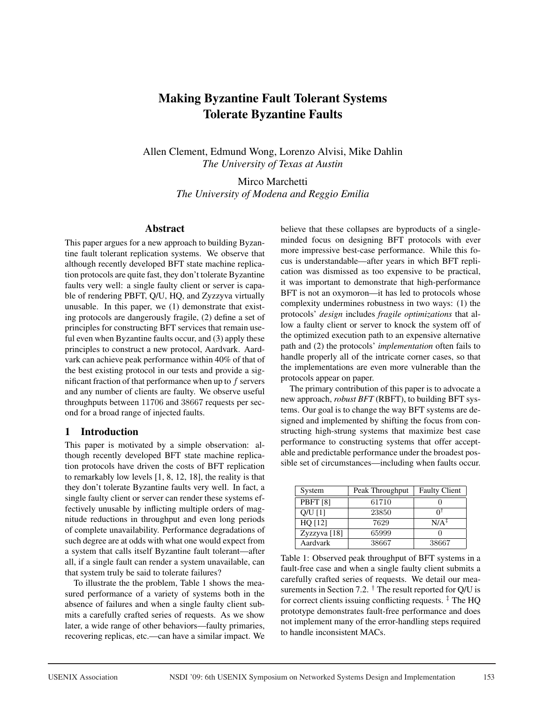# Making Byzantine Fault Tolerant Systems Tolerate Byzantine Faults

Allen Clement, Edmund Wong, Lorenzo Alvisi, Mike Dahlin *The University of Texas at Austin*

> Mirco Marchetti *The University of Modena and Reggio Emilia*

#### Abstract

This paper argues for a new approach to building Byzantine fault tolerant replication systems. We observe that although recently developed BFT state machine replication protocols are quite fast, they don't tolerate Byzantine faults very well: a single faulty client or server is capable of rendering PBFT, Q/U, HQ, and Zyzzyva virtually unusable. In this paper, we (1) demonstrate that existing protocols are dangerously fragile, (2) define a set of principles for constructing BFT services that remain useful even when Byzantine faults occur, and (3) apply these principles to construct a new protocol, Aardvark. Aardvark can achieve peak performance within 40% of that of the best existing protocol in our tests and provide a significant fraction of that performance when up to  $f$  servers and any number of clients are faulty. We observe useful throughputs between 11706 and 38667 requests per second for a broad range of injected faults.

# 1 Introduction

This paper is motivated by a simple observation: although recently developed BFT state machine replication protocols have driven the costs of BFT replication to remarkably low levels [1, 8, 12, 18], the reality is that they don't tolerate Byzantine faults very well. In fact, a single faulty client or server can render these systems effectively unusable by inflicting multiple orders of magnitude reductions in throughput and even long periods of complete unavailability. Performance degradations of such degree are at odds with what one would expect from a system that calls itself Byzantine fault tolerant—after all, if a single fault can render a system unavailable, can that system truly be said to tolerate failures?

To illustrate the the problem, Table 1 shows the measured performance of a variety of systems both in the absence of failures and when a single faulty client submits a carefully crafted series of requests. As we show later, a wide range of other behaviors—faulty primaries, recovering replicas, etc.—can have a similar impact. We believe that these collapses are byproducts of a singleminded focus on designing BFT protocols with ever more impressive best-case performance. While this focus is understandable—after years in which BFT replication was dismissed as too expensive to be practical, it was important to demonstrate that high-performance BFT is not an oxymoron—it has led to protocols whose complexity undermines robustness in two ways: (1) the protocols' *design* includes *fragile optimizations* that allow a faulty client or server to knock the system off of the optimized execution path to an expensive alternative path and (2) the protocols' *implementation* often fails to handle properly all of the intricate corner cases, so that the implementations are even more vulnerable than the protocols appear on paper.

The primary contribution of this paper is to advocate a new approach, *robust BFT* (RBFT), to building BFT systems. Our goal is to change the way BFT systems are designed and implemented by shifting the focus from constructing high-strung systems that maximize best case performance to constructing systems that offer acceptable and predictable performance under the broadest possible set of circumstances—including when faults occur.

| System          | Peak Throughput | <b>Faulty Client</b> |
|-----------------|-----------------|----------------------|
| <b>PBFT</b> [8] | 61710           |                      |
| $O/U$ [1]       | 23850           |                      |
| HQ [12]         | 7629            | $N/A^{\ddagger}$     |
| Zyzzyva [18]    | 65999           |                      |
| Aardvark        | 38667           | 38667                |

Table 1: Observed peak throughput of BFT systems in a fault-free case and when a single faulty client submits a carefully crafted series of requests. We detail our measurements in Section 7.2.  $\dagger$  The result reported for Q/U is for correct clients issuing conflicting requests.  $\frac{1}{4}$  The HQ prototype demonstrates fault-free performance and does not implement many of the error-handling steps required to handle inconsistent MACs.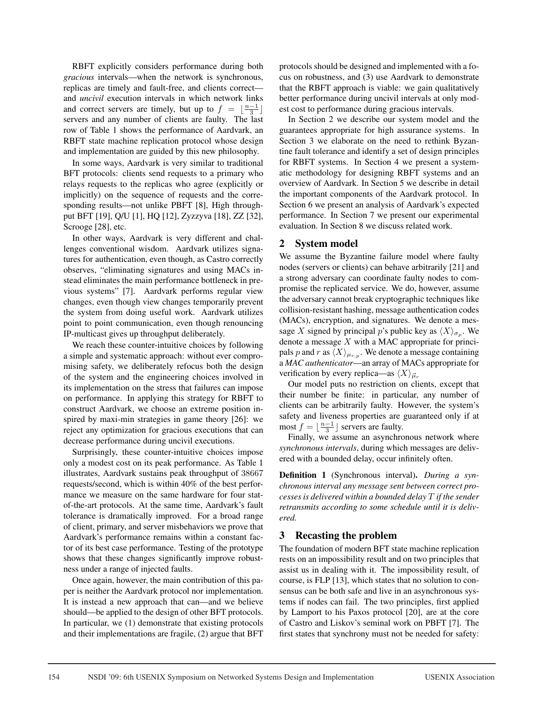RBFT explicitly considers performance during both *gracious* intervals—when the network is synchronous, replicas are timely and fault-free, and clients correct and *uncivil* execution intervals in which network links and correct servers are timely, but up to  $f = \lfloor \frac{n-1}{3} \rfloor$ servers and any number of clients are faulty. The last row of Table 1 shows the performance of Aardvark, an RBFT state machine replication protocol whose design and implementation are guided by this new philosophy.

In some ways, Aardvark is very similar to traditional BFT protocols: clients send requests to a primary who relays requests to the replicas who agree (explicitly or implicitly) on the sequence of requests and the corresponding results—not unlike PBFT [8], High throughput BFT [19], Q/U [1], HQ [12], Zyzzyva [18], ZZ [32], Scrooge [28], etc.

In other ways, Aardvark is very different and challenges conventional wisdom. Aardvark utilizes signatures for authentication, even though, as Castro correctly observes, "eliminating signatures and using MACs instead eliminates the main performance bottleneck in previous systems" [7]. Aardvark performs regular view changes, even though view changes temporarily prevent the system from doing useful work. Aardvark utilizes point to point communication, even though renouncing IP-multicast gives up throughput deliberately.

We reach these counter-intuitive choices by following a simple and systematic approach: without ever compromising safety, we deliberately refocus both the design of the system and the engineering choices involved in its implementation on the stress that failures can impose on performance. In applying this strategy for RBFT to construct Aardvark, we choose an extreme position inspired by maxi-min strategies in game theory [26]: we reject any optimization for gracious executions that can decrease performance during uncivil executions.

Surprisingly, these counter-intuitive choices impose only a modest cost on its peak performance. As Table 1 illustrates, Aardvark sustains peak throughput of 38667 requests/second, which is within 40% of the best performance we measure on the same hardware for four statof-the-art protocols. At the same time, Aardvark's fault tolerance is dramatically improved. For a broad range of client, primary, and server misbehaviors we prove that Aardvark's performance remains within a constant factor of its best case performance. Testing of the prototype shows that these changes significantly improve robustness under a range of injected faults.

Once again, however, the main contribution of this paper is neither the Aardvark protocol nor implementation. It is instead a new approach that can—and we believe should—be applied to the design of other BFT protocols. In particular, we (1) demonstrate that existing protocols and their implementations are fragile, (2) argue that BFT

protocols should be designed and implemented with a focus on robustness, and (3) use Aardvark to demonstrate that the RBFT approach is viable: we gain qualitatively better performance during uncivil intervals at only modest cost to performance during gracious intervals.

In Section 2 we describe our system model and the guarantees appropriate for high assurance systems. In Section 3 we elaborate on the need to rethink Byzantine fault tolerance and identify a set of design principles for RBFT systems. In Section 4 we present a systematic methodology for designing RBFT systems and an overview of Aardvark. In Section 5 we describe in detail the important components of the Aardvark protocol. In Section 6 we present an analysis of Aardvark's expected performance. In Section 7 we present our experimental evaluation. In Section 8 we discuss related work.

# 2 System model

We assume the Byzantine failure model where faulty nodes (servers or clients) can behave arbitrarily [21] and a strong adversary can coordinate faulty nodes to compromise the replicated service. We do, however, assume the adversary cannot break cryptographic techniques like collision-resistant hashing, message authentication codes (MACs), encryption, and signatures. We denote a message X signed by principal p's public key as  $\langle X \rangle_{\sigma_p}$ . We denote a message  $X$  with a MAC appropriate for principals p and r as  $\langle X \rangle_{\mu_{r,p}}$ . We denote a message containing a *MAC authenticator*—an array of MACs appropriate for verification by every replica—as  $\langle X \rangle_{\vec{\mu}_r}$ 

Our model puts no restriction on clients, except that their number be finite: in particular, any number of clients can be arbitrarily faulty. However, the system's safety and liveness properties are guaranteed only if at most  $f = \lfloor \frac{n-1}{3} \rfloor$  servers are faulty.

Finally, we assume an asynchronous network where *synchronous intervals*, during which messages are delivered with a bounded delay, occur infinitely often.

Definition 1 (Synchronous interval). *During a synchronous interval any message sent between correct processes is delivered within a bounded delay* T *if the sender retransmits according to some schedule until it is delivered.*

# 3 Recasting the problem

The foundation of modern BFT state machine replication rests on an impossibility result and on two principles that assist us in dealing with it. The impossibility result, of course, is FLP [13], which states that no solution to consensus can be both safe and live in an asynchronous systems if nodes can fail. The two principles, first applied by Lamport to his Paxos protocol [20], are at the core of Castro and Liskov's seminal work on PBFT [7]. The first states that synchrony must not be needed for safety: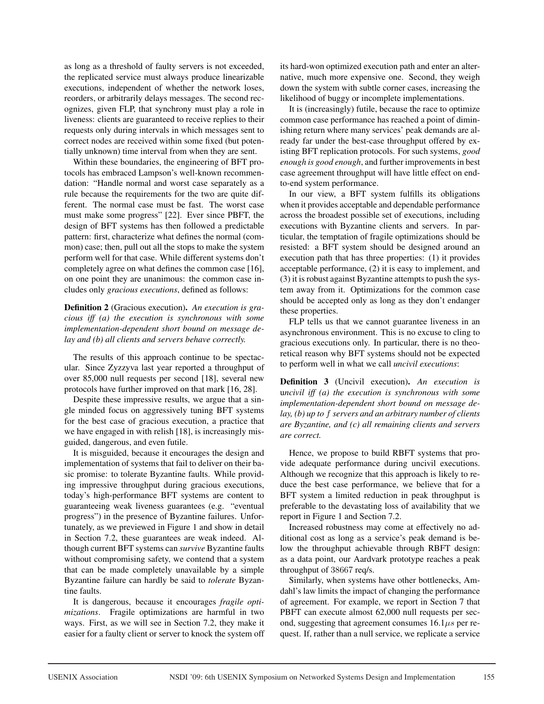as long as a threshold of faulty servers is not exceeded, the replicated service must always produce linearizable executions, independent of whether the network loses, reorders, or arbitrarily delays messages. The second recognizes, given FLP, that synchrony must play a role in liveness: clients are guaranteed to receive replies to their requests only during intervals in which messages sent to correct nodes are received within some fixed (but potentially unknown) time interval from when they are sent.

Within these boundaries, the engineering of BFT protocols has embraced Lampson's well-known recommendation: "Handle normal and worst case separately as a rule because the requirements for the two are quite different. The normal case must be fast. The worst case must make some progress" [22]. Ever since PBFT, the design of BFT systems has then followed a predictable pattern: first, characterize what defines the normal (common) case; then, pull out all the stops to make the system perform well for that case. While different systems don't completely agree on what defines the common case [16], on one point they are unanimous: the common case includes only *gracious executions*, defined as follows:

Definition 2 (Gracious execution). *An execution is gracious iff (a) the execution is synchronous with some implementation-dependent short bound on message delay and (b) all clients and servers behave correctly.*

The results of this approach continue to be spectacular. Since Zyzzyva last year reported a throughput of over 85,000 null requests per second [18], several new protocols have further improved on that mark [16, 28].

Despite these impressive results, we argue that a single minded focus on aggressively tuning BFT systems for the best case of gracious execution, a practice that we have engaged in with relish [18], is increasingly misguided, dangerous, and even futile.

It is misguided, because it encourages the design and implementation of systems that fail to deliver on their basic promise: to tolerate Byzantine faults. While providing impressive throughput during gracious executions, today's high-performance BFT systems are content to guaranteeing weak liveness guarantees (e.g. "eventual progress") in the presence of Byzantine failures. Unfortunately, as we previewed in Figure 1 and show in detail in Section 7.2, these guarantees are weak indeed. Although current BFT systems can *survive* Byzantine faults without compromising safety, we contend that a system that can be made completely unavailable by a simple Byzantine failure can hardly be said to *tolerate* Byzantine faults.

It is dangerous, because it encourages *fragile optimizations*. Fragile optimizations are harmful in two ways. First, as we will see in Section 7.2, they make it easier for a faulty client or server to knock the system off its hard-won optimized execution path and enter an alternative, much more expensive one. Second, they weigh down the system with subtle corner cases, increasing the likelihood of buggy or incomplete implementations.

It is (increasingly) futile, because the race to optimize common case performance has reached a point of diminishing return where many services' peak demands are already far under the best-case throughput offered by existing BFT replication protocols. For such systems, *good enough is good enough*, and further improvements in best case agreement throughput will have little effect on endto-end system performance.

In our view, a BFT system fulfills its obligations when it provides acceptable and dependable performance across the broadest possible set of executions, including executions with Byzantine clients and servers. In particular, the temptation of fragile optimizations should be resisted: a BFT system should be designed around an execution path that has three properties: (1) it provides acceptable performance, (2) it is easy to implement, and (3) it is robust against Byzantine attempts to push the system away from it. Optimizations for the common case should be accepted only as long as they don't endanger these properties.

FLP tells us that we cannot guarantee liveness in an asynchronous environment. This is no excuse to cling to gracious executions only. In particular, there is no theoretical reason why BFT systems should not be expected to perform well in what we call *uncivil executions*:

Definition 3 (Uncivil execution). *An execution is* u*ncivil iff (a) the execution is synchronous with some implementation-dependent short bound on message delay, (b) up to* f *servers and an arbitrary number of clients are Byzantine, and (c) all remaining clients and servers are correct.*

Hence, we propose to build RBFT systems that provide adequate performance during uncivil executions. Although we recognize that this approach is likely to reduce the best case performance, we believe that for a BFT system a limited reduction in peak throughput is preferable to the devastating loss of availability that we report in Figure 1 and Section 7.2.

Increased robustness may come at effectively no additional cost as long as a service's peak demand is below the throughput achievable through RBFT design: as a data point, our Aardvark prototype reaches a peak throughput of 38667 req/s.

Similarly, when systems have other bottlenecks, Amdahl's law limits the impact of changing the performance of agreement. For example, we report in Section 7 that PBFT can execute almost 62,000 null requests per second, suggesting that agreement consumes  $16.1 \mu s$  per request. If, rather than a null service, we replicate a service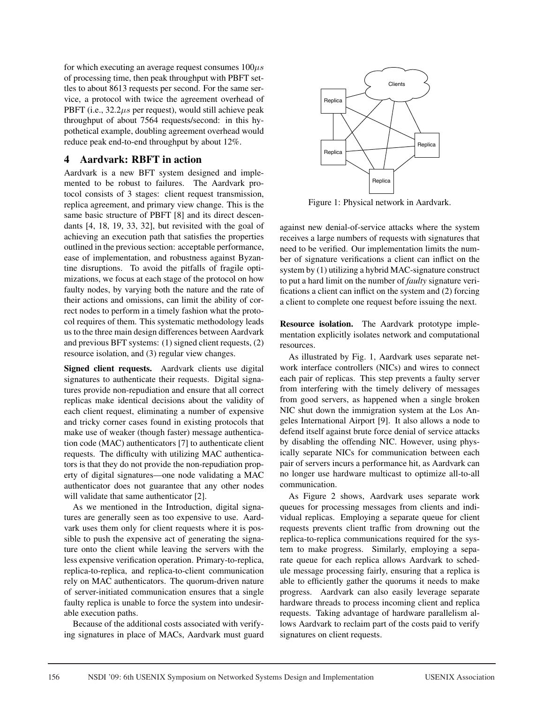for which executing an average request consumes  $100\mu s$ of processing time, then peak throughput with PBFT settles to about 8613 requests per second. For the same service, a protocol with twice the agreement overhead of PBFT (i.e., 32.2*µs* per request), would still achieve peak throughput of about 7564 requests/second: in this hypothetical example, doubling agreement overhead would reduce peak end-to-end throughput by about 12%.

# 4 Aardvark: RBFT in action

Aardvark is a new BFT system designed and implemented to be robust to failures. The Aardvark protocol consists of 3 stages: client request transmission, replica agreement, and primary view change. This is the same basic structure of PBFT [8] and its direct descendants [4, 18, 19, 33, 32], but revisited with the goal of achieving an execution path that satisfies the properties outlined in the previous section: acceptable performance, ease of implementation, and robustness against Byzantine disruptions. To avoid the pitfalls of fragile optimizations, we focus at each stage of the protocol on how faulty nodes, by varying both the nature and the rate of their actions and omissions, can limit the ability of correct nodes to perform in a timely fashion what the protocol requires of them. This systematic methodology leads us to the three main design differences between Aardvark and previous BFT systems: (1) signed client requests, (2) resource isolation, and (3) regular view changes.

Signed client requests. Aardvark clients use digital signatures to authenticate their requests. Digital signatures provide non-repudiation and ensure that all correct replicas make identical decisions about the validity of each client request, eliminating a number of expensive and tricky corner cases found in existing protocols that make use of weaker (though faster) message authentication code (MAC) authenticators [7] to authenticate client requests. The difficulty with utilizing MAC authenticators is that they do not provide the non-repudiation property of digital signatures—one node validating a MAC authenticator does not guarantee that any other nodes will validate that same authenticator [2].

As we mentioned in the Introduction, digital signatures are generally seen as too expensive to use. Aardvark uses them only for client requests where it is possible to push the expensive act of generating the signature onto the client while leaving the servers with the less expensive verification operation. Primary-to-replica, replica-to-replica, and replica-to-client communication rely on MAC authenticators. The quorum-driven nature of server-initiated communication ensures that a single faulty replica is unable to force the system into undesirable execution paths.

Because of the additional costs associated with verifying signatures in place of MACs, Aardvark must guard



Figure 1: Physical network in Aardvark.

against new denial-of-service attacks where the system receives a large numbers of requests with signatures that need to be verified. Our implementation limits the number of signature verifications a client can inflict on the system by (1) utilizing a hybrid MAC-signature construct to put a hard limit on the number of *faulty* signature verifications a client can inflict on the system and (2) forcing a client to complete one request before issuing the next.

Resource isolation. The Aardvark prototype implementation explicitly isolates network and computational resources.

As illustrated by Fig. 1, Aardvark uses separate network interface controllers (NICs) and wires to connect each pair of replicas. This step prevents a faulty server from interfering with the timely delivery of messages from good servers, as happened when a single broken NIC shut down the immigration system at the Los Angeles International Airport [9]. It also allows a node to defend itself against brute force denial of service attacks by disabling the offending NIC. However, using physically separate NICs for communication between each pair of servers incurs a performance hit, as Aardvark can no longer use hardware multicast to optimize all-to-all communication.

As Figure 2 shows, Aardvark uses separate work queues for processing messages from clients and individual replicas. Employing a separate queue for client requests prevents client traffic from drowning out the replica-to-replica communications required for the system to make progress. Similarly, employing a separate queue for each replica allows Aardvark to schedule message processing fairly, ensuring that a replica is able to efficiently gather the quorums it needs to make progress. Aardvark can also easily leverage separate hardware threads to process incoming client and replica requests. Taking advantage of hardware parallelism allows Aardvark to reclaim part of the costs paid to verify signatures on client requests.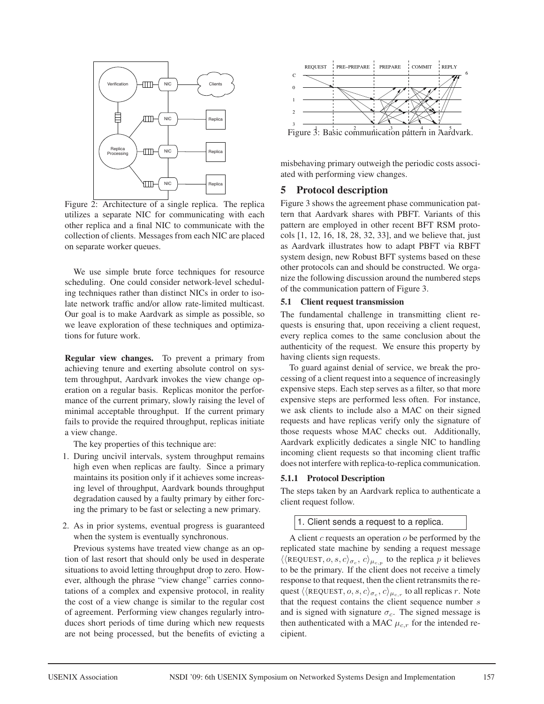

Figure 2: Architecture of a single replica. The replica utilizes a separate NIC for communicating with each other replica and a final NIC to communicate with the collection of clients. Messages from each NIC are placed on separate worker queues.

We use simple brute force techniques for resource scheduling. One could consider network-level scheduling techniques rather than distinct NICs in order to isolate network traffic and/or allow rate-limited multicast. Our goal is to make Aardvark as simple as possible, so we leave exploration of these techniques and optimizations for future work.

Regular view changes. To prevent a primary from achieving tenure and exerting absolute control on system throughput, Aardvark invokes the view change operation on a regular basis. Replicas monitor the performance of the current primary, slowly raising the level of minimal acceptable throughput. If the current primary fails to provide the required throughput, replicas initiate a view change.

The key properties of this technique are:

- 1. During uncivil intervals, system throughput remains high even when replicas are faulty. Since a primary maintains its position only if it achieves some increasing level of throughput, Aardvark bounds throughput degradation caused by a faulty primary by either forcing the primary to be fast or selecting a new primary.
- 2. As in prior systems, eventual progress is guaranteed when the system is eventually synchronous.

Previous systems have treated view change as an option of last resort that should only be used in desperate situations to avoid letting throughput drop to zero. However, although the phrase "view change" carries connotations of a complex and expensive protocol, in reality the cost of a view change is similar to the regular cost of agreement. Performing view changes regularly introduces short periods of time during which new requests are not being processed, but the benefits of evicting a



misbehaving primary outweigh the periodic costs associated with performing view changes.

# 5 Protocol description

Figure 3 shows the agreement phase communication pattern that Aardvark shares with PBFT. Variants of this pattern are employed in other recent BFT RSM protocols [1, 12, 16, 18, 28, 32, 33], and we believe that, just as Aardvark illustrates how to adapt PBFT via RBFT system design, new Robust BFT systems based on these other protocols can and should be constructed. We organize the following discussion around the numbered steps of the communication pattern of Figure 3.

#### 5.1 Client request transmission

The fundamental challenge in transmitting client requests is ensuring that, upon receiving a client request, every replica comes to the same conclusion about the authenticity of the request. We ensure this property by having clients sign requests.

To guard against denial of service, we break the processing of a client request into a sequence of increasingly expensive steps. Each step serves as a filter, so that more expensive steps are performed less often. For instance, we ask clients to include also a MAC on their signed requests and have replicas verify only the signature of those requests whose MAC checks out. Additionally, Aardvark explicitly dedicates a single NIC to handling incoming client requests so that incoming client traffic does not interfere with replica-to-replica communication.

# 5.1.1 Protocol Description

The steps taken by an Aardvark replica to authenticate a client request follow.

# 1. Client sends a request to a replica.

A client  $c$  requests an operation  $o$  be performed by the replicated state machine by sending a request message  $\langle \langle \text{REQUEST}, o, s, c \rangle_{\sigma_c}, c \rangle_{\mu_{c,p}}$  to the replica p it believes to be the primary. If the client does not receive a timely response to that request, then the client retransmits the request  $\langle \langle \text{REQUEST}, o, s, c \rangle_{\sigma_c}, c \rangle_{\mu_{c,r}}$  to all replicas r. Note that the request contains the client sequence number s and is signed with signature  $\sigma_c$ . The signed message is then authenticated with a MAC  $\mu_{c,r}$  for the intended recipient.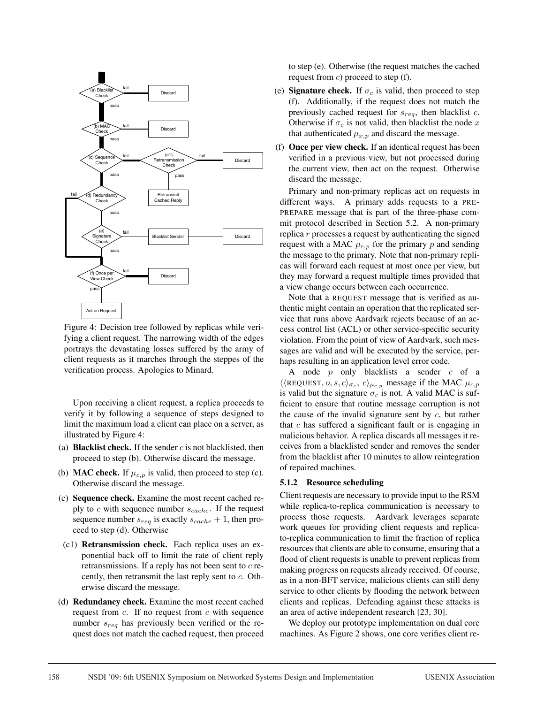

Figure 4: Decision tree followed by replicas while verifying a client request. The narrowing width of the edges portrays the devastating losses suffered by the army of client requests as it marches through the steppes of the verification process. Apologies to Minard.

Upon receiving a client request, a replica proceeds to verify it by following a sequence of steps designed to limit the maximum load a client can place on a server, as illustrated by Figure 4:

- (a) **Blacklist check.** If the sender c is not blacklisted, then proceed to step (b). Otherwise discard the message.
- (b) **MAC check.** If  $\mu_{c,p}$  is valid, then proceed to step (c). Otherwise discard the message.
- (c) Sequence check. Examine the most recent cached reply to c with sequence number  $s_{cache}$ . If the request sequence number  $s_{req}$  is exactly  $s_{cache} + 1$ , then proceed to step (d). Otherwise
- (c1) Retransmission check. Each replica uses an exponential back off to limit the rate of client reply retransmissions. If a reply has not been sent to  $c$  recently, then retransmit the last reply sent to c. Otherwise discard the message.
- (d) Redundancy check. Examine the most recent cached request from  $c$ . If no request from  $c$  with sequence number  $s_{req}$  has previously been verified or the request does not match the cached request, then proceed

to step (e). Otherwise (the request matches the cached request from  $c$ ) proceed to step (f).

- (e) **Signature check.** If  $\sigma_c$  is valid, then proceed to step (f). Additionally, if the request does not match the previously cached request for  $s_{req}$ , then blacklist c. Otherwise if  $\sigma_c$  is not valid, then blacklist the node x that authenticated  $\mu_{x,p}$  and discard the message.
- (f) Once per view check. If an identical request has been verified in a previous view, but not processed during the current view, then act on the request. Otherwise discard the message.

Primary and non-primary replicas act on requests in different ways. A primary adds requests to a PRE-PREPARE message that is part of the three-phase commit protocol described in Section 5.2. A non-primary replica  $r$  processes a request by authenticating the signed request with a MAC  $\mu_{r,p}$  for the primary p and sending the message to the primary. Note that non-primary replicas will forward each request at most once per view, but they may forward a request multiple times provided that a view change occurs between each occurrence.

Note that a REQUEST message that is verified as authentic might contain an operation that the replicated service that runs above Aardvark rejects because of an access control list (ACL) or other service-specific security violation. From the point of view of Aardvark, such messages are valid and will be executed by the service, perhaps resulting in an application level error code.

A node  $p$  only blacklists a sender  $c$  of a  $\langle \langle$ REQUEST,  $o, s, c \rangle_{\sigma_c}, c \rangle_{\mu_{c,p}}$  message if the MAC  $\mu_{c,p}$ is valid but the signature  $\sigma_c$  is not. A valid MAC is sufficient to ensure that routine message corruption is not the cause of the invalid signature sent by  $c$ , but rather that  $c$  has suffered a significant fault or is engaging in malicious behavior. A replica discards all messages it receives from a blacklisted sender and removes the sender from the blacklist after 10 minutes to allow reintegration of repaired machines.

#### 5.1.2 Resource scheduling

Client requests are necessary to provide input to the RSM while replica-to-replica communication is necessary to process those requests. Aardvark leverages separate work queues for providing client requests and replicato-replica communication to limit the fraction of replica resources that clients are able to consume, ensuring that a flood of client requests is unable to prevent replicas from making progress on requests already received. Of course, as in a non-BFT service, malicious clients can still deny service to other clients by flooding the network between clients and replicas. Defending against these attacks is an area of active independent research [23, 30].

We deploy our prototype implementation on dual core machines. As Figure 2 shows, one core verifies client re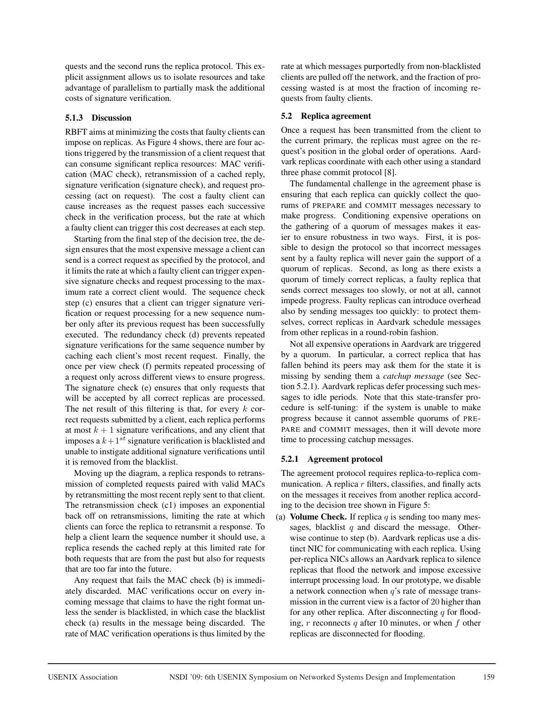quests and the second runs the replica protocol. This explicit assignment allows us to isolate resources and take advantage of parallelism to partially mask the additional costs of signature verification.

# 5.1.3 Discussion

RBFT aims at minimizing the costs that faulty clients can impose on replicas. As Figure 4 shows, there are four actions triggered by the transmission of a client request that can consume significant replica resources: MAC verification (MAC check), retransmission of a cached reply, signature verification (signature check), and request processing (act on request). The cost a faulty client can cause increases as the request passes each successive check in the verification process, but the rate at which a faulty client can trigger this cost decreases at each step.

Starting from the final step of the decision tree, the design ensures that the most expensive message a client can send is a correct request as specified by the protocol, and it limits the rate at which a faulty client can trigger expensive signature checks and request processing to the maximum rate a correct client would. The sequence check step (c) ensures that a client can trigger signature verification or request processing for a new sequence number only after its previous request has been successfully executed. The redundancy check (d) prevents repeated signature verifications for the same sequence number by caching each client's most recent request. Finally, the once per view check (f) permits repeated processing of a request only across different views to ensure progress. The signature check (e) ensures that only requests that will be accepted by all correct replicas are processed. The net result of this filtering is that, for every  $k$  correct requests submitted by a client, each replica performs at most  $k + 1$  signature verifications, and any client that imposes a  $k+1$ <sup>st</sup> signature verification is blacklisted and unable to instigate additional signature verifications until it is removed from the blacklist.

Moving up the diagram, a replica responds to retransmission of completed requests paired with valid MACs by retransmitting the most recent reply sent to that client. The retransmission check (c1) imposes an exponential back off on retransmissions, limiting the rate at which clients can force the replica to retransmit a response. To help a client learn the sequence number it should use, a replica resends the cached reply at this limited rate for both requests that are from the past but also for requests that are too far into the future.

Any request that fails the MAC check (b) is immediately discarded. MAC verifications occur on every incoming message that claims to have the right format unless the sender is blacklisted, in which case the blacklist check (a) results in the message being discarded. The rate of MAC verification operations is thus limited by the rate at which messages purportedly from non-blacklisted clients are pulled off the network, and the fraction of processing wasted is at most the fraction of incoming requests from faulty clients.

### 5.2 Replica agreement

Once a request has been transmitted from the client to the current primary, the replicas must agree on the request's position in the global order of operations. Aardvark replicas coordinate with each other using a standard three phase commit protocol [8].

The fundamental challenge in the agreement phase is ensuring that each replica can quickly collect the quorums of PREPARE and COMMIT messages necessary to make progress. Conditioning expensive operations on the gathering of a quorum of messages makes it easier to ensure robustness in two ways. First, it is possible to design the protocol so that incorrect messages sent by a faulty replica will never gain the support of a quorum of replicas. Second, as long as there exists a quorum of timely correct replicas, a faulty replica that sends correct messages too slowly, or not at all, cannot impede progress. Faulty replicas can introduce overhead also by sending messages too quickly: to protect themselves, correct replicas in Aardvark schedule messages from other replicas in a round-robin fashion.

Not all expensive operations in Aardvark are triggered by a quorum. In particular, a correct replica that has fallen behind its peers may ask them for the state it is missing by sending them a *catchup message* (see Section 5.2.1). Aardvark replicas defer processing such messages to idle periods. Note that this state-transfer procedure is self-tuning: if the system is unable to make progress because it cannot assemble quorums of PRE-PARE and COMMIT messages, then it will devote more time to processing catchup messages.

# 5.2.1 Agreement protocol

The agreement protocol requires replica-to-replica communication. A replica  $r$  filters, classifies, and finally acts on the messages it receives from another replica according to the decision tree shown in Figure 5:

(a) **Volume Check.** If replica q is sending too many messages, blacklist  $q$  and discard the message. Otherwise continue to step (b). Aardvark replicas use a distinct NIC for communicating with each replica. Using per-replica NICs allows an Aardvark replica to silence replicas that flood the network and impose excessive interrupt processing load. In our prototype, we disable a network connection when  $q$ 's rate of message transmission in the current view is a factor of 20 higher than for any other replica. After disconnecting  $q$  for flooding,  $r$  reconnects  $q$  after 10 minutes, or when  $f$  other replicas are disconnected for flooding.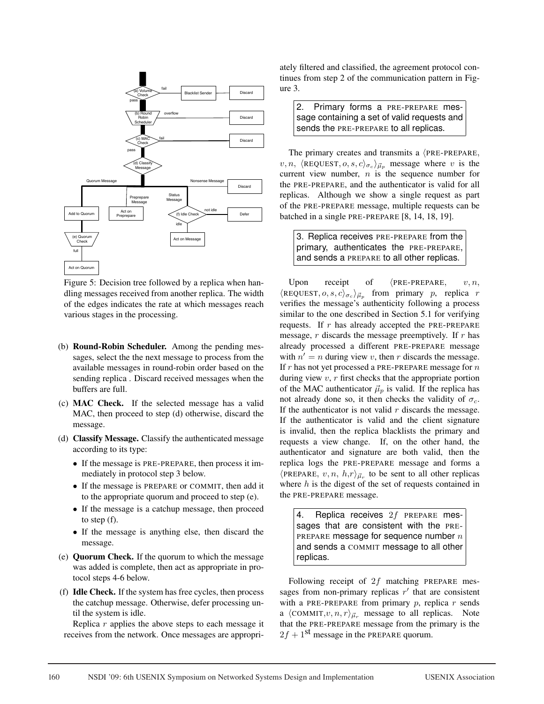

Figure 5: Decision tree followed by a replica when handling messages received from another replica. The width of the edges indicates the rate at which messages reach various stages in the processing.

- (b) Round-Robin Scheduler. Among the pending messages, select the the next message to process from the available messages in round-robin order based on the sending replica . Discard received messages when the buffers are full.
- (c) MAC Check. If the selected message has a valid MAC, then proceed to step (d) otherwise, discard the message.
- (d) Classify Message. Classify the authenticated message according to its type:
	- If the message is PRE-PREPARE, then process it immediately in protocol step 3 below.
	- If the message is PREPARE or COMMIT, then add it to the appropriate quorum and proceed to step (e).
	- If the message is a catchup message, then proceed to step (f).
	- If the message is anything else, then discard the message.
- (e) Quorum Check. If the quorum to which the message was added is complete, then act as appropriate in protocol steps 4-6 below.
- (f) Idle Check. If the system has free cycles, then process the catchup message. Otherwise, defer processing until the system is idle.

Replica  $r$  applies the above steps to each message it receives from the network. Once messages are appropriately filtered and classified, the agreement protocol continues from step 2 of the communication pattern in Figure 3.

2. Primary forms a PRE-PREPARE message containing a set of valid requests and sends the PRE-PREPARE to all replicas.

The primary creates and transmits a  $\langle PRE-PREPARE,$  $v, n$ ,  $\langle$ REQUEST,  $o, s, c \rangle_{\sigma_c}$   $\rangle_{\vec{\mu}_p}$  message where v is the current view number,  $n$  is the sequence number for the PRE-PREPARE, and the authenticator is valid for all replicas. Although we show a single request as part of the PRE-PREPARE message, multiple requests can be batched in a single PRE-PREPARE [8, 14, 18, 19].

3. Replica receives PRE-PREPARE from the primary, authenticates the PRE-PREPARE, and sends a PREPARE to all other replicas.

Upon receipt of  $\langle$ PRE-PREPARE,  $v, n$ ,  $\langle$ REQUEST,  $o, s, c \rangle_{\sigma_c}$  from primary p, replica r verifies the message's authenticity following a process similar to the one described in Section 5.1 for verifying requests. If  $r$  has already accepted the PRE-PREPARE message,  $r$  discards the message preemptively. If  $r$  has already processed a different PRE-PREPARE message with  $n' = n$  during view v, then r discards the message. If  $r$  has not yet processed a PRE-PREPARE message for  $n$ during view  $v, r$  first checks that the appropriate portion of the MAC authenticator  $\vec{\mu}_p$  is valid. If the replica has not already done so, it then checks the validity of  $\sigma_c$ . If the authenticator is not valid  $r$  discards the message. If the authenticator is valid and the client signature is invalid, then the replica blacklists the primary and requests a view change. If, on the other hand, the authenticator and signature are both valid, then the replica logs the PRE-PREPARE message and forms a  $\langle$ PREPARE,  $v, n, h,r \rangle_{\vec{\mu}_r}$  to be sent to all other replicas where  $h$  is the digest of the set of requests contained in the PRE-PREPARE message.

4. Replica receives  $2f$  PREPARE messages that are consistent with the PRE-PREPARE message for sequence number  $n$ and sends a COMMIT message to all other replicas.

Following receipt of  $2f$  matching PREPARE messages from non-primary replicas  $r'$  that are consistent with a PRE-PREPARE from primary  $p$ , replica  $r$  sends a  $\langle$  COMMIT, $v, n, r \rangle_{\vec{\mu}_r}$  message to all replicas. Note that the PRE-PREPARE message from the primary is the  $2f + 1$ <sup>st</sup> message in the PREPARE quorum.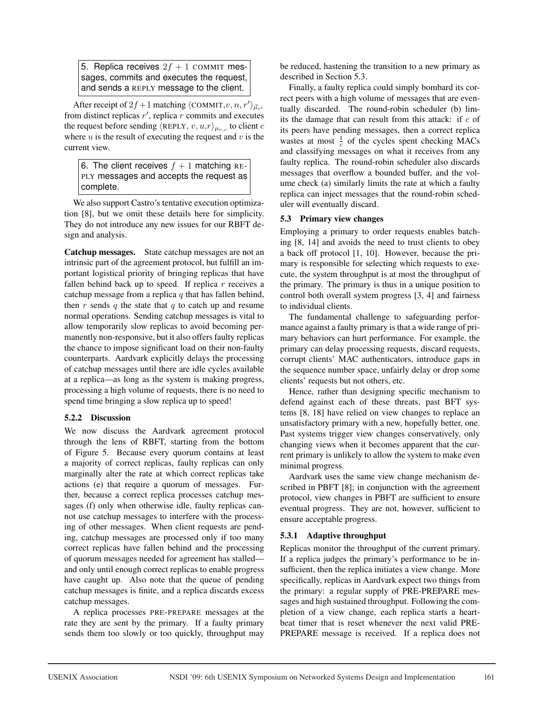5. Replica receives  $2f + 1$  COMMIT messages, commits and executes the request, and sends a REPLY message to the client.

After receipt of  $2f+1$  matching  $\langle$  COMMIT, $v, n, r' \rangle_{\vec{\mu}_{r'}}$ from distinct replicas  $r'$ , replica r commits and executes the request before sending  $\langle \text{REPLY}, v, u, r \rangle_{\mu_{r,c}}$  to client c where  $u$  is the result of executing the request and  $v$  is the current view.

6. The client receives  $f + 1$  matching RE-PLY messages and accepts the request as complete.

We also support Castro's tentative execution optimization [8], but we omit these details here for simplicity. They do not introduce any new issues for our RBFT design and analysis.

Catchup messages. State catchup messages are not an intrinsic part of the agreement protocol, but fulfill an important logistical priority of bringing replicas that have fallen behind back up to speed. If replica  $r$  receives a catchup message from a replica  $q$  that has fallen behind, then r sends q the state that q to catch up and resume normal operations. Sending catchup messages is vital to allow temporarily slow replicas to avoid becoming permanently non-responsive, but it also offers faulty replicas the chance to impose significant load on their non-faulty counterparts. Aardvark explicitly delays the processing of catchup messages until there are idle cycles available at a replica—as long as the system is making progress, processing a high volume of requests, there is no need to spend time bringing a slow replica up to speed!

# 5.2.2 Discussion

We now discuss the Aardvark agreement protocol through the lens of RBFT, starting from the bottom of Figure 5. Because every quorum contains at least a majority of correct replicas, faulty replicas can only marginally alter the rate at which correct replicas take actions (e) that require a quorum of messages. Further, because a correct replica processes catchup messages (f) only when otherwise idle, faulty replicas cannot use catchup messages to interfere with the processing of other messages. When client requests are pending, catchup messages are processed only if too many correct replicas have fallen behind and the processing of quorum messages needed for agreement has stalled and only until enough correct replicas to enable progress have caught up. Also note that the queue of pending catchup messages is finite, and a replica discards excess catchup messages.

A replica processes PRE-PREPARE messages at the rate they are sent by the primary. If a faulty primary sends them too slowly or too quickly, throughput may be reduced, hastening the transition to a new primary as described in Section 5.3.

Finally, a faulty replica could simply bombard its correct peers with a high volume of messages that are eventually discarded. The round-robin scheduler (b) limits the damage that can result from this attack: if  $c$  of its peers have pending messages, then a correct replica wastes at most  $\frac{1}{c}$  of the cycles spent checking MACs and classifying messages on what it receives from any faulty replica. The round-robin scheduler also discards messages that overflow a bounded buffer, and the volume check (a) similarly limits the rate at which a faulty replica can inject messages that the round-robin scheduler will eventually discard.

# 5.3 Primary view changes

Employing a primary to order requests enables batching [8, 14] and avoids the need to trust clients to obey a back off protocol [1, 10]. However, because the primary is responsible for selecting which requests to execute, the system throughput is at most the throughput of the primary. The primary is thus in a unique position to control both overall system progress [3, 4] and fairness to individual clients.

The fundamental challenge to safeguarding performance against a faulty primary is that a wide range of primary behaviors can hurt performance. For example, the primary can delay processing requests, discard requests, corrupt clients' MAC authenticators, introduce gaps in the sequence number space, unfairly delay or drop some clients' requests but not others, etc.

Hence, rather than designing specific mechanism to defend against each of these threats, past BFT systems [8, 18] have relied on view changes to replace an unsatisfactory primary with a new, hopefully better, one. Past systems trigger view changes conservatively, only changing views when it becomes apparent that the current primary is unlikely to allow the system to make even minimal progress.

Aardvark uses the same view change mechanism described in PBFT [8]; in conjunction with the agreement protocol, view changes in PBFT are sufficient to ensure eventual progress. They are not, however, sufficient to ensure acceptable progress.

# 5.3.1 Adaptive throughput

Replicas monitor the throughput of the current primary. If a replica judges the primary's performance to be insufficient, then the replica initiates a view change. More specifically, replicas in Aardvark expect two things from the primary: a regular supply of PRE-PREPARE messages and high sustained throughput. Following the completion of a view change, each replica starts a heartbeat timer that is reset whenever the next valid PRE-PREPARE message is received. If a replica does not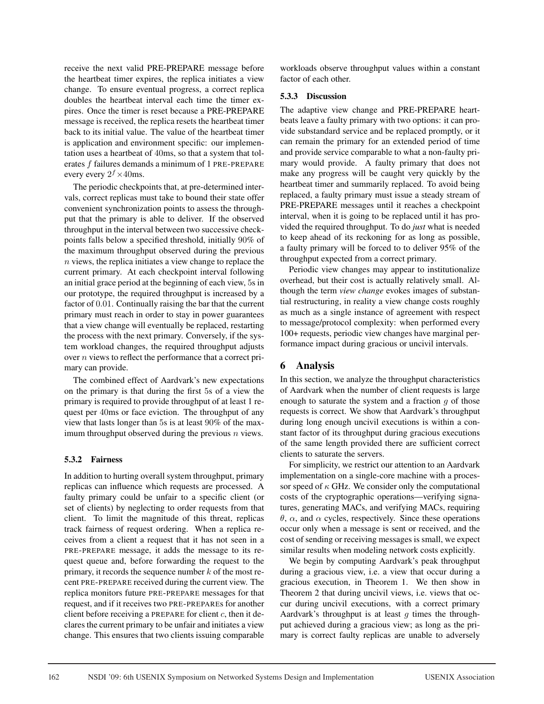receive the next valid PRE-PREPARE message before the heartbeat timer expires, the replica initiates a view change. To ensure eventual progress, a correct replica doubles the heartbeat interval each time the timer expires. Once the timer is reset because a PRE-PREPARE message is received, the replica resets the heartbeat timer back to its initial value. The value of the heartbeat timer is application and environment specific: our implementation uses a heartbeat of 40ms, so that a system that tolerates f failures demands a minimum of 1 PRE-PREPARE every every  $2^f \times 40$ ms.

The periodic checkpoints that, at pre-determined intervals, correct replicas must take to bound their state offer convenient synchronization points to assess the throughput that the primary is able to deliver. If the observed throughput in the interval between two successive checkpoints falls below a specified threshold, initially 90% of the maximum throughput observed during the previous n views, the replica initiates a view change to replace the current primary. At each checkpoint interval following an initial grace period at the beginning of each view, 5s in our prototype, the required throughput is increased by a factor of 0.01. Continually raising the bar that the current primary must reach in order to stay in power guarantees that a view change will eventually be replaced, restarting the process with the next primary. Conversely, if the system workload changes, the required throughput adjusts over n views to reflect the performance that a correct primary can provide.

The combined effect of Aardvark's new expectations on the primary is that during the first 5s of a view the primary is required to provide throughput of at least 1 request per 40ms or face eviction. The throughput of any view that lasts longer than 5s is at least 90% of the maximum throughput observed during the previous  $n$  views.

# 5.3.2 Fairness

In addition to hurting overall system throughput, primary replicas can influence which requests are processed. A faulty primary could be unfair to a specific client (or set of clients) by neglecting to order requests from that client. To limit the magnitude of this threat, replicas track fairness of request ordering. When a replica receives from a client a request that it has not seen in a PRE-PREPARE message, it adds the message to its request queue and, before forwarding the request to the primary, it records the sequence number  $k$  of the most recent PRE-PREPARE received during the current view. The replica monitors future PRE-PREPARE messages for that request, and if it receives two PRE-PREPAREs for another client before receiving a PREPARE for client  $c$ , then it declares the current primary to be unfair and initiates a view change. This ensures that two clients issuing comparable

workloads observe throughput values within a constant factor of each other.

# 5.3.3 Discussion

The adaptive view change and PRE-PREPARE heartbeats leave a faulty primary with two options: it can provide substandard service and be replaced promptly, or it can remain the primary for an extended period of time and provide service comparable to what a non-faulty primary would provide. A faulty primary that does not make any progress will be caught very quickly by the heartbeat timer and summarily replaced. To avoid being replaced, a faulty primary must issue a steady stream of PRE-PREPARE messages until it reaches a checkpoint interval, when it is going to be replaced until it has provided the required throughput. To do *just* what is needed to keep ahead of its reckoning for as long as possible, a faulty primary will be forced to to deliver 95% of the throughput expected from a correct primary.

Periodic view changes may appear to institutionalize overhead, but their cost is actually relatively small. Although the term *view change* evokes images of substantial restructuring, in reality a view change costs roughly as much as a single instance of agreement with respect to message/protocol complexity: when performed every 100+ requests, periodic view changes have marginal performance impact during gracious or uncivil intervals.

# 6 Analysis

In this section, we analyze the throughput characteristics of Aardvark when the number of client requests is large enough to saturate the system and a fraction  $g$  of those requests is correct. We show that Aardvark's throughput during long enough uncivil executions is within a constant factor of its throughput during gracious executions of the same length provided there are sufficient correct clients to saturate the servers.

For simplicity, we restrict our attention to an Aardvark implementation on a single-core machine with a processor speed of  $\kappa$  GHz. We consider only the computational costs of the cryptographic operations—verifying signatures, generating MACs, and verifying MACs, requiring θ, α, and α cycles, respectively. Since these operations occur only when a message is sent or received, and the cost of sending or receiving messages is small, we expect similar results when modeling network costs explicitly.

We begin by computing Aardvark's peak throughput during a gracious view, i.e. a view that occur during a gracious execution, in Theorem 1. We then show in Theorem 2 that during uncivil views, i.e. views that occur during uncivil executions, with a correct primary Aardvark's throughput is at least  $q$  times the throughput achieved during a gracious view; as long as the primary is correct faulty replicas are unable to adversely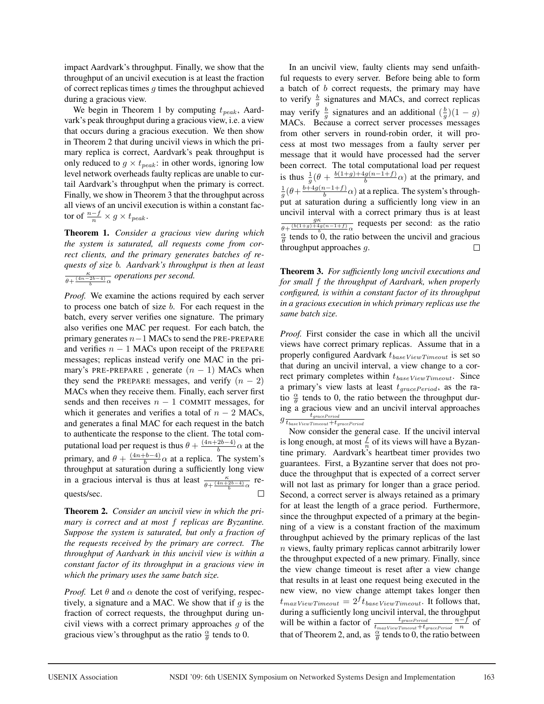impact Aardvark's throughput. Finally, we show that the throughput of an uncivil execution is at least the fraction of correct replicas times  $g$  times the throughput achieved during a gracious view.

We begin in Theorem 1 by computing  $t_{peak}$ , Aardvark's peak throughput during a gracious view, i.e. a view that occurs during a gracious execution. We then show in Theorem 2 that during uncivil views in which the primary replica is correct, Aardvark's peak throughput is only reduced to  $g \times t_{peak}$ : in other words, ignoring low level network overheads faulty replicas are unable to curtail Aardvark's throughput when the primary is correct. Finally, we show in Theorem 3 that the throughput across all views of an uncivil execution is within a constant factor of  $\frac{n-f}{n} \times g \times t_{peak}$ .

Theorem 1. *Consider a gracious view during which the system is saturated, all requests come from correct clients, and the primary generates batches of requests of size* b*. Aardvark's throughput is then at least*  $rac{\kappa}{\theta + \frac{(4n-2b-4)}{b}\alpha}$  operations per second.

*Proof.* We examine the actions required by each server to process one batch of size b. For each request in the batch, every server verifies one signature. The primary also verifies one MAC per request. For each batch, the primary generates  $n-1$  MACs to send the PRE-PREPARE and verifies  $n - 1$  MACs upon receipt of the PREPARE messages; replicas instead verify one MAC in the primary's PRE-PREPARE, generate  $(n - 1)$  MACs when they send the PREPARE messages, and verify  $(n - 2)$ MACs when they receive them. Finally, each server first sends and then receives  $n - 1$  COMMIT messages, for which it generates and verifies a total of  $n - 2$  MACs, and generates a final MAC for each request in the batch to authenticate the response to the client. The total computational load per request is thus  $\theta + \frac{(4n+2b-4)}{b} \alpha$  at the primary, and  $\theta + \frac{(4n+b-4)}{b} \alpha$  at a replica. The system's throughput at saturation during a sufficiently long view in a gracious interval is thus at least  $\frac{\kappa}{\theta + \frac{(4n+2b-4)}{b}\alpha}$  requests/sec.

Theorem 2. *Consider an uncivil view in which the primary is correct and at most* f *replicas are Byzantine. Suppose the system is saturated, but only a fraction of the requests received by the primary are correct. The throughput of Aardvark in this uncivil view is within a constant factor of its throughput in a gracious view in which the primary uses the same batch size.*

*Proof.* Let  $\theta$  and  $\alpha$  denote the cost of verifying, respectively, a signature and a MAC. We show that if  $q$  is the fraction of correct requests, the throughput during uncivil views with a correct primary approaches g of the gracious view's throughput as the ratio  $\frac{\alpha}{\theta}$  tends to 0.

In an uncivil view, faulty clients may send unfaithful requests to every server. Before being able to form a batch of b correct requests, the primary may have to verify  $\frac{b}{g}$  signatures and MACs, and correct replicas may verify  $\frac{b}{g}$  signatures and an additional  $(\frac{b}{g})(1-g)$ MACs. Because a correct server processes messages from other servers in round-robin order, it will process at most two messages from a faulty server per message that it would have processed had the server been correct. The total computational load per request is thus  $\frac{1}{g}$  ( $\theta + \frac{b(1+g)+4g(n-1+f)}{b}$  at the primary, and  $\frac{1}{g}(\theta + \frac{b+4g(n-1+f)}{b}\alpha)$  at a replica. The system's throughput at saturation during a sufficiently long view in an uncivil interval with a correct primary thus is at least  $\frac{g\kappa}{\theta + \frac{(b(1+g)+4g(n-1+f))}{b}}$  requests per second: as the ratio  $\frac{\alpha}{\theta}$  tends to 0, the ratio between the uncivil and gracious throughput approaches g.

Theorem 3. *For sufficiently long uncivil executions and for small* f *the throughput of Aardvark, when properly configured, is within a constant factor of its throughput in a gracious execution in which primary replicas use the same batch size.*

*Proof.* First consider the case in which all the uncivil views have correct primary replicas. Assume that in a properly configured Aardvark  $t_{baseViewTimeout}$  is set so that during an uncivil interval, a view change to a correct primary completes within  $t_{baseViewTimeout}$ . Since a primary's view lasts at least  $t_{gracePeriod}$ , as the ratio  $\frac{\alpha}{\theta}$  tends to 0, the ratio between the throughput during a gracious view and an uncivil interval approaches  $g \frac{t_{gracePeriod}}{t_{baseViewTimeout}+t_{gracePeriod}}$ 

Now consider the general case. If the uncivil interval is long enough, at most  $\frac{f}{n}$  of its views will have a Byzantine primary. Aardvark's heartbeat timer provides two guarantees. First, a Byzantine server that does not produce the throughput that is expected of a correct server will not last as primary for longer than a grace period. Second, a correct server is always retained as a primary for at least the length of a grace period. Furthermore, since the throughput expected of a primary at the beginning of a view is a constant fraction of the maximum throughput achieved by the primary replicas of the last n views, faulty primary replicas cannot arbitrarily lower the throughput expected of a new primary. Finally, since the view change timeout is reset after a view change that results in at least one request being executed in the new view, no view change attempt takes longer then  $t_{maxViewTimeout} = 2^f t_{baseViewTimeout}$ . It follows that, during a sufficiently long uncivil interval, the throughput will be within a factor of  $\frac{t_{gracePeriod}}{t_{maxViewTimeout}+t_{gracePeriod}}\frac{n-f}{n}$  of that of Theorem 2, and, as  $\frac{\alpha}{\theta}$  tends to 0, the ratio between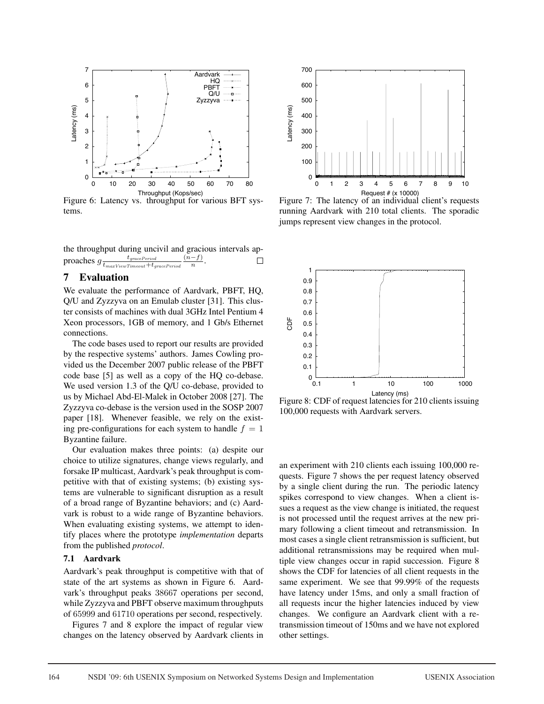

Figure 6: Latency vs. throughput for various BFT systems.

the throughput during uncivil and gracious intervals ap- $\text{proaches } g \frac{t_{gracePeriod}}{t_{maxViewTimeout} + t_{gracePeriod}} \frac{(n-f)}{n}.$  $\Box$ 

# 7 Evaluation

We evaluate the performance of Aardvark, PBFT, HQ, Q/U and Zyzzyva on an Emulab cluster [31]. This cluster consists of machines with dual 3GHz Intel Pentium 4 Xeon processors, 1GB of memory, and 1 Gb/s Ethernet connections.

The code bases used to report our results are provided by the respective systems' authors. James Cowling provided us the December 2007 public release of the PBFT code base [5] as well as a copy of the HQ co-debase. We used version 1.3 of the Q/U co-debase, provided to us by Michael Abd-El-Malek in October 2008 [27]. The Zyzzyva co-debase is the version used in the SOSP 2007 paper [18]. Whenever feasible, we rely on the existing pre-configurations for each system to handle  $f = 1$ Byzantine failure.

Our evaluation makes three points: (a) despite our choice to utilize signatures, change views regularly, and forsake IP multicast, Aardvark's peak throughput is competitive with that of existing systems; (b) existing systems are vulnerable to significant disruption as a result of a broad range of Byzantine behaviors; and (c) Aardvark is robust to a wide range of Byzantine behaviors. When evaluating existing systems, we attempt to identify places where the prototype *implementation* departs from the published *protocol*.

#### 7.1 Aardvark

Aardvark's peak throughput is competitive with that of state of the art systems as shown in Figure 6. Aardvark's throughput peaks 38667 operations per second, while Zyzzyva and PBFT observe maximum throughputs of 65999 and 61710 operations per second, respectively.

Figures 7 and 8 explore the impact of regular view changes on the latency observed by Aardvark clients in



Figure 7: The latency of an individual client's requests running Aardvark with 210 total clients. The sporadic jumps represent view changes in the protocol.



Figure 8: CDF of request latencies for 210 clients issuing 100,000 requests with Aardvark servers.

an experiment with 210 clients each issuing 100,000 requests. Figure 7 shows the per request latency observed by a single client during the run. The periodic latency spikes correspond to view changes. When a client issues a request as the view change is initiated, the request is not processed until the request arrives at the new primary following a client timeout and retransmission. In most cases a single client retransmission is sufficient, but additional retransmissions may be required when multiple view changes occur in rapid succession. Figure 8 shows the CDF for latencies of all client requests in the same experiment. We see that 99.99% of the requests have latency under 15ms, and only a small fraction of all requests incur the higher latencies induced by view changes. We configure an Aardvark client with a retransmission timeout of 150ms and we have not explored other settings.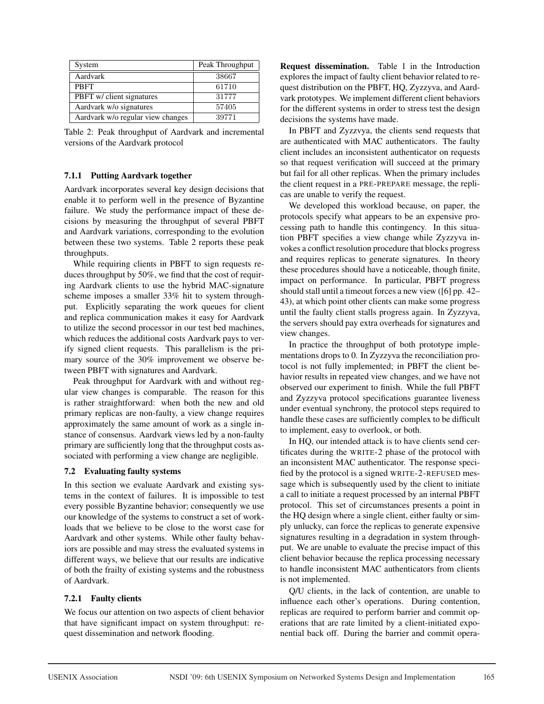| System                            | Peak Throughput |
|-----------------------------------|-----------------|
| Aardvark                          | 38667           |
| <b>PRFT</b>                       | 61710           |
| PBFT w/ client signatures         | 31777           |
| Aardvark w/o signatures           | 57405           |
| Aardvark w/o regular view changes | 39771           |

Table 2: Peak throughput of Aardvark and incremental versions of the Aardvark protocol

#### 7.1.1 Putting Aardvark together

Aardvark incorporates several key design decisions that enable it to perform well in the presence of Byzantine failure. We study the performance impact of these decisions by measuring the throughput of several PBFT and Aardvark variations, corresponding to the evolution between these two systems. Table 2 reports these peak throughputs.

While requiring clients in PBFT to sign requests reduces throughput by 50%, we find that the cost of requiring Aardvark clients to use the hybrid MAC-signature scheme imposes a smaller 33% hit to system throughput. Explicitly separating the work queues for client and replica communication makes it easy for Aardvark to utilize the second processor in our test bed machines, which reduces the additional costs Aardvark pays to verify signed client requests. This parallelism is the primary source of the 30% improvement we observe between PBFT with signatures and Aardvark.

Peak throughput for Aardvark with and without regular view changes is comparable. The reason for this is rather straightforward: when both the new and old primary replicas are non-faulty, a view change requires approximately the same amount of work as a single instance of consensus. Aardvark views led by a non-faulty primary are sufficiently long that the throughput costs associated with performing a view change are negligible.

# 7.2 Evaluating faulty systems

In this section we evaluate Aardvark and existing systems in the context of failures. It is impossible to test every possible Byzantine behavior; consequently we use our knowledge of the systems to construct a set of workloads that we believe to be close to the worst case for Aardvark and other systems. While other faulty behaviors are possible and may stress the evaluated systems in different ways, we believe that our results are indicative of both the frailty of existing systems and the robustness of Aardvark.

# 7.2.1 Faulty clients

We focus our attention on two aspects of client behavior that have significant impact on system throughput: request dissemination and network flooding.

Request dissemination. Table 1 in the Introduction explores the impact of faulty client behavior related to request distribution on the PBFT, HQ, Zyzzyva, and Aardvark prototypes. We implement different client behaviors for the different systems in order to stress test the design decisions the systems have made.

In PBFT and Zyzzvya, the clients send requests that are authenticated with MAC authenticators. The faulty client includes an inconsistent authenticator on requests so that request verification will succeed at the primary but fail for all other replicas. When the primary includes the client request in a PRE-PREPARE message, the replicas are unable to verify the request.

We developed this workload because, on paper, the protocols specify what appears to be an expensive processing path to handle this contingency. In this situation PBFT specifies a view change while Zyzzyva invokes a conflict resolution procedure that blocks progress and requires replicas to generate signatures. In theory these procedures should have a noticeable, though finite, impact on performance. In particular, PBFT progress should stall until a timeout forces a new view ([6] pp. 42– 43), at which point other clients can make some progress until the faulty client stalls progress again. In Zyzzyva, the servers should pay extra overheads for signatures and view changes.

In practice the throughput of both prototype implementations drops to 0. In Zyzzyva the reconciliation protocol is not fully implemented; in PBFT the client behavior results in repeated view changes, and we have not observed our experiment to finish. While the full PBFT and Zyzzyva protocol specifications guarantee liveness under eventual synchrony, the protocol steps required to handle these cases are sufficiently complex to be difficult to implement, easy to overlook, or both.

In HQ, our intended attack is to have clients send certificates during the WRITE-2 phase of the protocol with an inconsistent MAC authenticator. The response specified by the protocol is a signed WRITE-2-REFUSED message which is subsequently used by the client to initiate a call to initiate a request processed by an internal PBFT protocol. This set of circumstances presents a point in the HQ design where a single client, either faulty or simply unlucky, can force the replicas to generate expensive signatures resulting in a degradation in system throughput. We are unable to evaluate the precise impact of this client behavior because the replica processing necessary to handle inconsistent MAC authenticators from clients is not implemented.

Q/U clients, in the lack of contention, are unable to influence each other's operations. During contention, replicas are required to perform barrier and commit operations that are rate limited by a client-initiated exponential back off. During the barrier and commit opera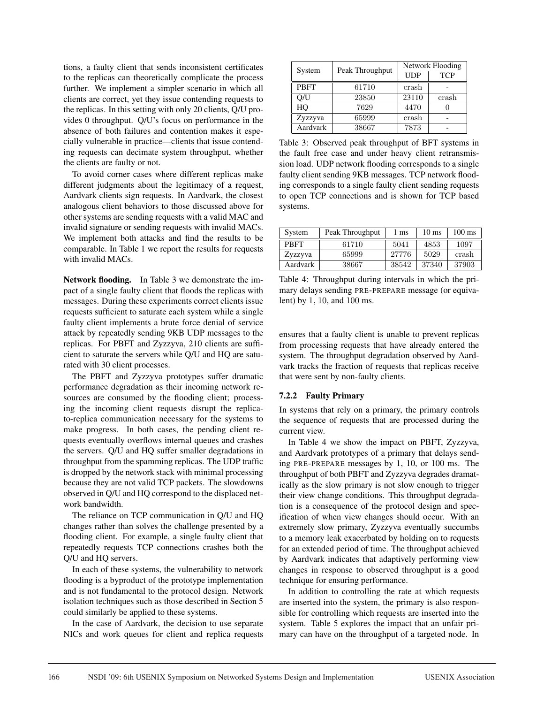tions, a faulty client that sends inconsistent certificates to the replicas can theoretically complicate the process further. We implement a simpler scenario in which all clients are correct, yet they issue contending requests to the replicas. In this setting with only 20 clients, Q/U provides 0 throughput. Q/U's focus on performance in the absence of both failures and contention makes it especially vulnerable in practice—clients that issue contending requests can decimate system throughput, whether the clients are faulty or not.

To avoid corner cases where different replicas make different judgments about the legitimacy of a request, Aardvark clients sign requests. In Aardvark, the closest analogous client behaviors to those discussed above for other systems are sending requests with a valid MAC and invalid signature or sending requests with invalid MACs. We implement both attacks and find the results to be comparable. In Table 1 we report the results for requests with invalid MACs.

Network flooding. In Table 3 we demonstrate the impact of a single faulty client that floods the replicas with messages. During these experiments correct clients issue requests sufficient to saturate each system while a single faulty client implements a brute force denial of service attack by repeatedly sending 9KB UDP messages to the replicas. For PBFT and Zyzzyva, 210 clients are sufficient to saturate the servers while Q/U and HQ are saturated with 30 client processes.

The PBFT and Zyzzyva prototypes suffer dramatic performance degradation as their incoming network resources are consumed by the flooding client; processing the incoming client requests disrupt the replicato-replica communication necessary for the systems to make progress. In both cases, the pending client requests eventually overflows internal queues and crashes the servers. Q/U and HQ suffer smaller degradations in throughput from the spamming replicas. The UDP traffic is dropped by the network stack with minimal processing because they are not valid TCP packets. The slowdowns observed in Q/U and HQ correspond to the displaced network bandwidth.

The reliance on TCP communication in Q/U and HQ changes rather than solves the challenge presented by a flooding client. For example, a single faulty client that repeatedly requests TCP connections crashes both the Q/U and HQ servers.

In each of these systems, the vulnerability to network flooding is a byproduct of the prototype implementation and is not fundamental to the protocol design. Network isolation techniques such as those described in Section 5 could similarly be applied to these systems.

In the case of Aardvark, the decision to use separate NICs and work queues for client and replica requests

| System      | Peak Throughput | Network Flooding |            |  |
|-------------|-----------------|------------------|------------|--|
|             |                 | <b>UDP</b>       | <b>TCP</b> |  |
| <b>PBFT</b> | 61710           | crash            |            |  |
| O/U         | 23850           | 23110            | crash      |  |
| HO          | 7629            | 4470             |            |  |
| Zyzzyva     | 65999           | crash            |            |  |
| Aardvark    | 38667           | 7873             |            |  |

Table 3: Observed peak throughput of BFT systems in the fault free case and under heavy client retransmission load. UDP network flooding corresponds to a single faulty client sending 9KB messages. TCP network flooding corresponds to a single faulty client sending requests to open TCP connections and is shown for TCP based systems.

| System      | Peak Throughput | ms    | $10 \text{ ms}$ | $100 \text{ ms}$ |
|-------------|-----------------|-------|-----------------|------------------|
| <b>PRFT</b> | 61710           | 5041  | 4853            | 1097             |
| Zyzzyva     | 65999           | 27776 | 5029            | crash            |
| Aardvark    | 38667           | 38542 | 37340           | 37903            |

Table 4: Throughput during intervals in which the primary delays sending PRE-PREPARE message (or equivalent) by 1, 10, and 100 ms.

ensures that a faulty client is unable to prevent replicas from processing requests that have already entered the system. The throughput degradation observed by Aardvark tracks the fraction of requests that replicas receive that were sent by non-faulty clients.

#### 7.2.2 Faulty Primary

In systems that rely on a primary, the primary controls the sequence of requests that are processed during the current view.

In Table 4 we show the impact on PBFT, Zyzzyva, and Aardvark prototypes of a primary that delays sending PRE-PREPARE messages by 1, 10, or 100 ms. The throughput of both PBFT and Zyzzyva degrades dramatically as the slow primary is not slow enough to trigger their view change conditions. This throughput degradation is a consequence of the protocol design and specification of when view changes should occur. With an extremely slow primary, Zyzzyva eventually succumbs to a memory leak exacerbated by holding on to requests for an extended period of time. The throughput achieved by Aardvark indicates that adaptively performing view changes in response to observed throughput is a good technique for ensuring performance.

In addition to controlling the rate at which requests are inserted into the system, the primary is also responsible for controlling which requests are inserted into the system. Table 5 explores the impact that an unfair primary can have on the throughput of a targeted node. In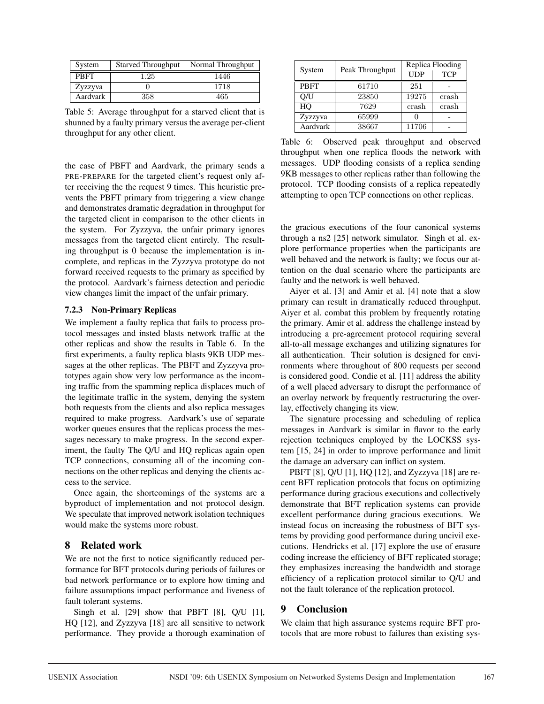| System      | <b>Starved Throughput</b> | Normal Throughput |
|-------------|---------------------------|-------------------|
| <b>PRFT</b> | 1.25                      | 1446              |
| Zyzzyva     |                           | 1718              |
| Aardvark    | 358                       | 465               |

Table 5: Average throughput for a starved client that is shunned by a faulty primary versus the average per-client throughput for any other client.

the case of PBFT and Aardvark, the primary sends a PRE-PREPARE for the targeted client's request only after receiving the the request 9 times. This heuristic prevents the PBFT primary from triggering a view change and demonstrates dramatic degradation in throughput for the targeted client in comparison to the other clients in the system. For Zyzzyva, the unfair primary ignores messages from the targeted client entirely. The resulting throughput is 0 because the implementation is incomplete, and replicas in the Zyzzyva prototype do not forward received requests to the primary as specified by the protocol. Aardvark's fairness detection and periodic view changes limit the impact of the unfair primary.

#### 7.2.3 Non-Primary Replicas

We implement a faulty replica that fails to process protocol messages and insted blasts network traffic at the other replicas and show the results in Table 6. In the first experiments, a faulty replica blasts 9KB UDP messages at the other replicas. The PBFT and Zyzzyva prototypes again show very low performance as the incoming traffic from the spamming replica displaces much of the legitimate traffic in the system, denying the system both requests from the clients and also replica messages required to make progress. Aardvark's use of separate worker queues ensures that the replicas process the messages necessary to make progress. In the second experiment, the faulty The Q/U and HQ replicas again open TCP connections, consuming all of the incoming connections on the other replicas and denying the clients access to the service.

Once again, the shortcomings of the systems are a byproduct of implementation and not protocol design. We speculate that improved network isolation techniques would make the systems more robust.

# 8 Related work

We are not the first to notice significantly reduced performance for BFT protocols during periods of failures or bad network performance or to explore how timing and failure assumptions impact performance and liveness of fault tolerant systems.

Singh et al.  $[29]$  show that PBFT  $[8]$ , Q/U  $[1]$ , HQ [12], and Zyzzyva [18] are all sensitive to network performance. They provide a thorough examination of

| System      | Peak Throughput | Replica Flooding |            |  |
|-------------|-----------------|------------------|------------|--|
|             |                 | <b>UDP</b>       | <b>TCP</b> |  |
| <b>PBFT</b> | 61710           | 251              |            |  |
| O/U         | 23850           | 19275            | crash      |  |
| HО          | 7629            | crash            | crash      |  |
| Zyzzyva     | 65999           |                  |            |  |
| Aardvark    | 38667           | 11706            |            |  |

Table 6: Observed peak throughput and observed throughput when one replica floods the network with messages. UDP flooding consists of a replica sending 9KB messages to other replicas rather than following the protocol. TCP flooding consists of a replica repeatedly attempting to open TCP connections on other replicas.

the gracious executions of the four canonical systems through a ns2 [25] network simulator. Singh et al. explore performance properties when the participants are well behaved and the network is faulty; we focus our attention on the dual scenario where the participants are faulty and the network is well behaved.

Aiyer et al. [3] and Amir et al. [4] note that a slow primary can result in dramatically reduced throughput. Aiyer et al. combat this problem by frequently rotating the primary. Amir et al. address the challenge instead by introducing a pre-agreement protocol requiring several all-to-all message exchanges and utilizing signatures for all authentication. Their solution is designed for environments where throughout of 800 requests per second is considered good. Condie et al. [11] address the ability of a well placed adversary to disrupt the performance of an overlay network by frequently restructuring the overlay, effectively changing its view.

The signature processing and scheduling of replica messages in Aardvark is similar in flavor to the early rejection techniques employed by the LOCKSS system [15, 24] in order to improve performance and limit the damage an adversary can inflict on system.

PBFT [8], Q/U [1], HQ [12], and Zyzzyva [18] are recent BFT replication protocols that focus on optimizing performance during gracious executions and collectively demonstrate that BFT replication systems can provide excellent performance during gracious executions. We instead focus on increasing the robustness of BFT systems by providing good performance during uncivil executions. Hendricks et al. [17] explore the use of erasure coding increase the efficiency of BFT replicated storage; they emphasizes increasing the bandwidth and storage efficiency of a replication protocol similar to Q/U and not the fault tolerance of the replication protocol.

# 9 Conclusion

We claim that high assurance systems require BFT protocols that are more robust to failures than existing sys